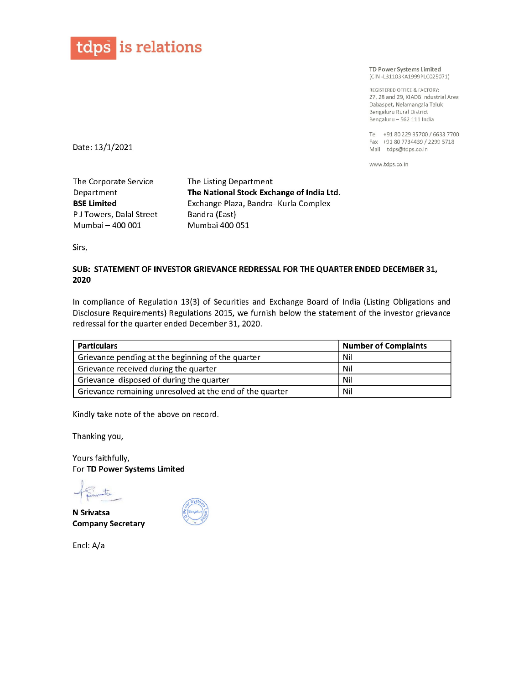

REGISTERED OFFICE & FACTORY: 27, 28 and 29, KIADB Industrial Area Dabaspet, Nelamangala Taluk Bengaluru Rural District Bengaluru — 562 111 India

Tel +91 80229 95700 / 6633 7700 Fax +91 80 7734439 / 2299 5718 Mail tdps@tdps.co.in

## SUB: STATEMENT OF INVESTOR GRIEVANCE REDRESSAL FOR THE QUARTER ENDED DECEMBER 31, 2020

In compliance of Regulation 13(3) of Securities and Exchange Board of India (Listing Obligations and Disclosure Requirements) Regulations 2015, we furnish below the statement of the investor grievance **tdps** is relations<br>
Date: 13/1/2021<br>
The Corporate Service The Listing Department<br>
Department The National Stock K<br>
BSE Limited Exchange Plaza, Band<br>
PJ Towers, Dalal Street Bandra (East)<br>
Mumbai 400 051<br>
Sirs,<br>
SUB: STAT **tdps** is relations<br>
Date: 13/1/2021<br>
The Corporate Service The Listing Department<br>
Department The National Stock Exchange Plaza, Band<br>
PJ Towers, Dalal Street Bandra (East)<br>
Mumbai – 400 001 Mumbai 400 051<br>
Sirs,<br>
SUB: ST **tolps** is relations<br>
Date: 13/1/2021<br>
The Corporate Service The Listing Department<br>
Department The National Stock E<br>
BSE Limited Exchange Plaza, Band<br>
PJ Towers, Dalal Street Bandra (East)<br>
Mumbai 400 051<br>
Sirs,<br>
SUB: STA redressal for the quarter ended December 31, 2020.

| tdps is relations                                                                                        |                                                                                                                                                                                                             |                                                                                                                                                           |
|----------------------------------------------------------------------------------------------------------|-------------------------------------------------------------------------------------------------------------------------------------------------------------------------------------------------------------|-----------------------------------------------------------------------------------------------------------------------------------------------------------|
|                                                                                                          |                                                                                                                                                                                                             | TD Power Systems Limited<br>(CIN-L31103KA1999PLC025071)                                                                                                   |
|                                                                                                          |                                                                                                                                                                                                             | REGISTERED OFFICE & FACTORY:<br>27, 28 and 29, KIADB Industrial A<br>Dabaspet, Nelamangala Taluk<br>Bengaluru Rural District<br>Bengaluru - 562 111 India |
| Date: 13/1/2021                                                                                          |                                                                                                                                                                                                             | Tel +91 80 229 95700 / 6633 71<br>Fax +91 80 7734439 / 2299 571<br>Mail tdps@tdps.co.in                                                                   |
|                                                                                                          |                                                                                                                                                                                                             | www.tdps.co.in                                                                                                                                            |
| The Corporate Service<br>Department<br><b>BSE Limited</b><br>PJ Towers, Dalal Street<br>Mumbai - 400 001 | The Listing Department<br>The National Stock Exchange of India Ltd.<br>Exchange Plaza, Bandra- Kurla Complex<br>Bandra (East)<br>Mumbai 400 051                                                             |                                                                                                                                                           |
| Sirs,                                                                                                    |                                                                                                                                                                                                             |                                                                                                                                                           |
| 2020                                                                                                     | SUB: STATEMENT OF INVESTOR GRIEVANCE REDRESSAL FOR THE QUARTER ENDED DECEMBER 31,                                                                                                                           |                                                                                                                                                           |
| redressal for the quarter ended December 31, 2020.                                                       | In compliance of Regulation 13(3) of Securities and Exchange Board of India (Listing Obligations and<br>Disclosure Requirements) Regulations 2015, we furnish below the statement of the investor grievance |                                                                                                                                                           |
| <b>Particulars</b>                                                                                       |                                                                                                                                                                                                             | <b>Number of Complaints</b>                                                                                                                               |
| Grievance pending at the beginning of the quarter                                                        |                                                                                                                                                                                                             | Nil                                                                                                                                                       |
| Grievance received during the quarter                                                                    |                                                                                                                                                                                                             | Nil                                                                                                                                                       |
| Grievance disposed of during the quarter                                                                 |                                                                                                                                                                                                             | Nil                                                                                                                                                       |
| Grievance remaining unresolved at the end of the quarter                                                 |                                                                                                                                                                                                             | Nil                                                                                                                                                       |

Kindly take note of the above on record.

Thanking you,

Yours faithfully, For TD Power Systems Limited

 $\mathcal{A}_{\text{S}}$  and  $\mathcal{A}_{\text{S}}$ | piwnts

N Srivatsa Company Secretary

Encl: A/a